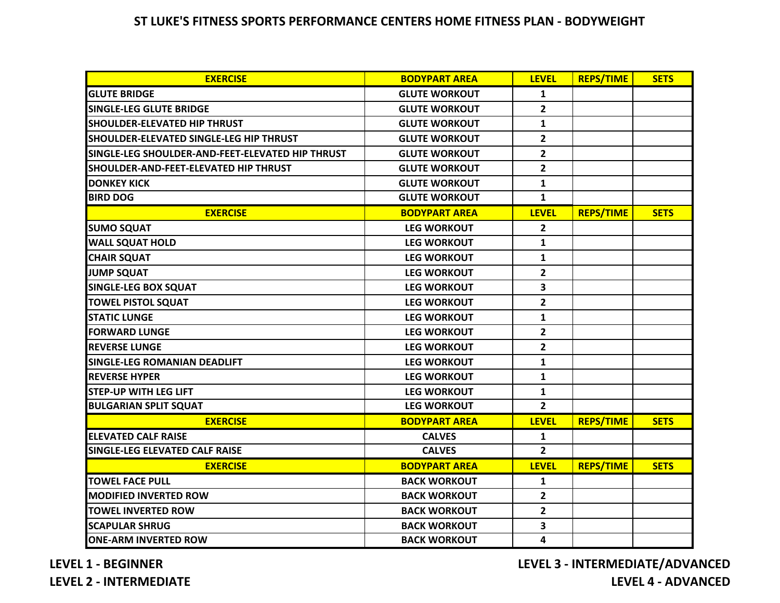## **ST LUKE'S FITNESS SPORTS PERFORMANCE CENTERS HOME FITNESS PLAN - BODYWEIGHT**

| <b>EXERCISE</b>                                  | <b>BODYPART AREA</b> | <b>LEVEL</b>   | <b>REPS/TIME</b> | <b>SETS</b> |
|--------------------------------------------------|----------------------|----------------|------------------|-------------|
| <b>GLUTE BRIDGE</b>                              | <b>GLUTE WORKOUT</b> | $\mathbf{1}$   |                  |             |
| <b>SINGLE-LEG GLUTE BRIDGE</b>                   | <b>GLUTE WORKOUT</b> | $\overline{2}$ |                  |             |
| <b>SHOULDER-ELEVATED HIP THRUST</b>              | <b>GLUTE WORKOUT</b> | 1              |                  |             |
| SHOULDER-ELEVATED SINGLE-LEG HIP THRUST          | <b>GLUTE WORKOUT</b> | $\mathbf{2}$   |                  |             |
| SINGLE-LEG SHOULDER-AND-FEET-ELEVATED HIP THRUST | <b>GLUTE WORKOUT</b> | $\overline{2}$ |                  |             |
| SHOULDER-AND-FEET-ELEVATED HIP THRUST            | <b>GLUTE WORKOUT</b> | $\overline{2}$ |                  |             |
| <b>DONKEY KICK</b>                               | <b>GLUTE WORKOUT</b> | 1              |                  |             |
| <b>BIRD DOG</b>                                  | <b>GLUTE WORKOUT</b> | $\mathbf{1}$   |                  |             |
| <b>EXERCISE</b>                                  | <b>BODYPART AREA</b> | <b>LEVEL</b>   | <b>REPS/TIME</b> | <b>SETS</b> |
| <b>SUMO SQUAT</b>                                | <b>LEG WORKOUT</b>   | $\overline{2}$ |                  |             |
| <b>WALL SQUAT HOLD</b>                           | <b>LEG WORKOUT</b>   | $\mathbf{1}$   |                  |             |
| <b>CHAIR SQUAT</b>                               | <b>LEG WORKOUT</b>   | $\mathbf{1}$   |                  |             |
| <b>JUMP SQUAT</b>                                | <b>LEG WORKOUT</b>   | $\overline{2}$ |                  |             |
| <b>SINGLE-LEG BOX SQUAT</b>                      | <b>LEG WORKOUT</b>   | 3              |                  |             |
| <b>TOWEL PISTOL SQUAT</b>                        | <b>LEG WORKOUT</b>   | $\mathbf{2}$   |                  |             |
| <b>STATIC LUNGE</b>                              | <b>LEG WORKOUT</b>   | 1              |                  |             |
| <b>FORWARD LUNGE</b>                             | <b>LEG WORKOUT</b>   | $\overline{2}$ |                  |             |
| <b>IREVERSE LUNGE</b>                            | <b>LEG WORKOUT</b>   | $\mathbf{2}$   |                  |             |
| SINGLE-LEG ROMANIAN DEADLIFT                     | <b>LEG WORKOUT</b>   | $\mathbf{1}$   |                  |             |
| <b>REVERSE HYPER</b>                             | <b>LEG WORKOUT</b>   | $\mathbf{1}$   |                  |             |
| <b>STEP-UP WITH LEG LIFT</b>                     | <b>LEG WORKOUT</b>   | $\mathbf{1}$   |                  |             |
| <b>BULGARIAN SPLIT SQUAT</b>                     | <b>LEG WORKOUT</b>   | $\overline{2}$ |                  |             |
| <b>EXERCISE</b>                                  | <b>BODYPART AREA</b> | <b>LEVEL</b>   | <b>REPS/TIME</b> | <b>SETS</b> |
| <b>ELEVATED CALF RAISE</b>                       | <b>CALVES</b>        | 1              |                  |             |
| <b>SINGLE-LEG ELEVATED CALF RAISE</b>            | <b>CALVES</b>        | $\overline{2}$ |                  |             |
| <b>EXERCISE</b>                                  | <b>BODYPART AREA</b> | <b>LEVEL</b>   | <b>REPS/TIME</b> | <b>SETS</b> |
| <b>TOWEL FACE PULL</b>                           | <b>BACK WORKOUT</b>  | 1              |                  |             |
| <b>MODIFIED INVERTED ROW</b>                     | <b>BACK WORKOUT</b>  | $\overline{2}$ |                  |             |
| <b>TOWEL INVERTED ROW</b>                        | <b>BACK WORKOUT</b>  | $\overline{2}$ |                  |             |
| <b>SCAPULAR SHRUG</b>                            | <b>BACK WORKOUT</b>  | 3              |                  |             |
| <b>ONE-ARM INVERTED ROW</b>                      | <b>BACK WORKOUT</b>  | 4              |                  |             |

**LEVEL 1 - BEGINNER**

**LEVEL 3 - INTERMEDIATE/ADVANCED LEVEL 4 - ADVANCED**

**LEVEL 2 - INTERMEDIATE**